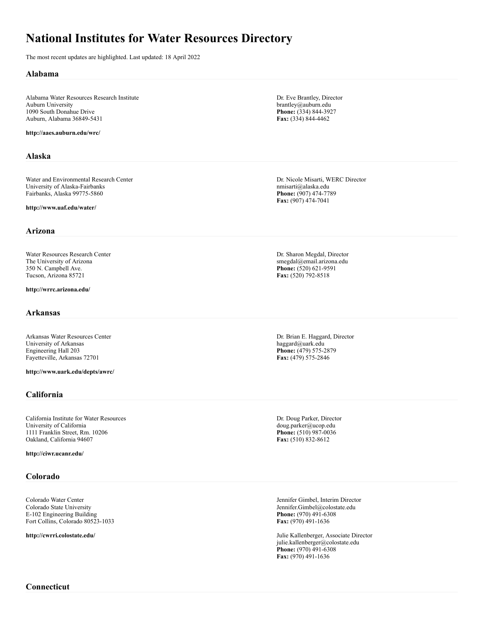# **National Institutes for Water Resources Directory**

The most recent updates are highlighted. Last updated: 18 April 2022

## **Alabama**

Alabama Water Resources Research Institute Auburn University 1090 South Donahue Drive Auburn, Alabama 36849-5431

## **http://aaes.auburn.edu/wrc/**

# **Alaska**

Water and Environmental Research Center University of Alaska-Fairbanks Fairbanks, Alaska 99775-5860

**http://www.uaf.edu/water/**

### **Arizona**

Water Resources Research Center The University of Arizona 350 N. Campbell Ave. Tucson, Arizona 85721

#### **http://wrrc.arizona.edu/**

### **Arkansas**

Arkansas Water Resources Center University of Arkansas Engineering Hall 203 Fayetteville, Arkansas 72701

**http://www.uark.edu/depts/awrc/**

# **California**

California Institute for Water Resources University of California 1111 Franklin Street, Rm. 10206 Oakland, California 94607

**http://ciwr.ucanr.edu/**

# **Colorado**

Colorado Water Center Colorado State University E-102 Engineering Building Fort Collins, Colorado 80523-1033

**http://cwrri.colostate.edu/**

Dr. Eve Brantley, Director brantley@auburn.edu **Phone:** (334) 844-3927 **Fax:** (334) 844-4462

Dr. Nicole Misarti, WERC Director nmisarti@alaska.edu **Phone:** (907) 474-7789 **Fax:** (907) 474-7041

Dr. Sharon Megdal, Director smegdal@email.arizona.edu **Phone:** (520) 621-9591 **Fax:** (520) 792-8518

Dr. Brian E. Haggard, Director haggard@uark.edu **Phone:** (479) 575-2879 **Fax:** (479) 575-2846

Dr. Doug Parker, Director doug.parker@ucop.edu **Phone:** (510) 987-0036 **Fax:** (510) 832-8612

Jennifer Gimbel, Interim Director Jennifer.Gimbel@colostate.edu **Phone:** (970) 491-6308 **Fax:** (970) 491-1636

Julie Kallenberger, Associate Director julie.kallenberger@colostate.edu **Phone:** (970) 491-6308 **Fax:** (970) 491-1636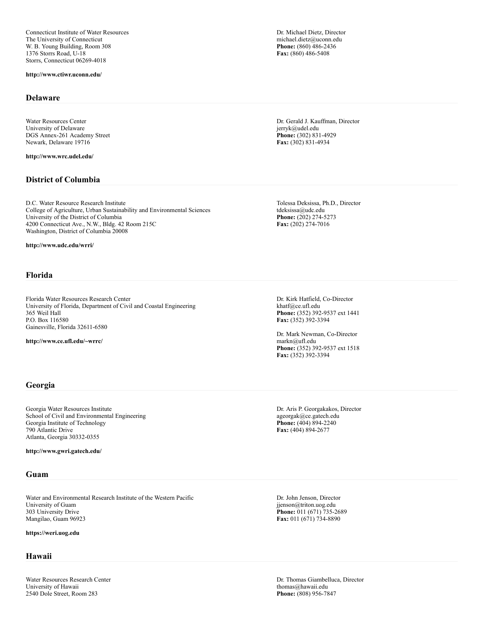Connecticut Institute of Water Resources The University of Connecticut W. B. Young Building, Room 308 1376 Storrs Road, U-18 Storrs, Connecticut 06269-4018

**http://www.ctiwr.uconn.edu/**

#### **Delaware**

Water Resources Center University of Delaware DGS Annex-261 Academy Street Newark, Delaware 19716

**http://www.wrc.udel.edu/**

# **District of Columbia**

D.C. Water Resource Research Institute College of Agriculture, Urban Sustainability and Environmental Sciences University of the District of Columbia 4200 Connecticut Ave., N.W., Bldg. 42 Room 215C Washington, District of Columbia 20008

**http://www.udc.edu/wrri/**

## **Florida**

Florida Water Resources Research Center University of Florida, Department of Civil and Coastal Engineering 365 Weil Hall P.O. Box 116580 Gainesville, Florida 32611-6580

**http://www.ce.ufl.edu/~wrrc/**

Dr. Michael Dietz, Director michael.dietz@uconn.edu **Phone:** (860) 486-2436 **Fax:** (860) 486-5408

Dr. Gerald J. Kauffman, Director jerryk@udel.edu **Phone:** (302) 831-4929 **Fax:** (302) 831-4934

Tolessa Deksissa, Ph.D., Director tdeksissa@udc.edu **Phone:** (202) 274-5273 **Fax:** (202) 274-7016

Dr. Kirk Hatfield, Co-Director khatf@ce.ufl.edu **Phone:** (352) 392-9537 ext 1441 **Fax:** (352) 392-3394

Dr. Mark Newman, Co-Director markn@ufl.edu **Phone:** (352) 392-9537 ext 1518 **Fax:** (352) 392-3394

# **Georgia**

Georgia Water Resources Institute School of Civil and Environmental Engineering Georgia Institute of Technology 790 Atlantic Drive Atlanta, Georgia 30332-0355

**http://www.gwri.gatech.edu/**

## **Guam**

Water and Environmental Research Institute of the Western Pacific University of Guam 303 University Drive Mangilao, Guam 96923

#### **https://weri.uog.edu**

# **Hawaii**

Water Resources Research Center University of Hawaii 2540 Dole Street, Room 283

Dr. Aris P. Georgakakos, Director ageorgak@ce.gatech.edu **Phone:** (404) 894-2240 **Fax:** (404) 894-2677

Dr. John Jenson, Director jjenson@triton.uog.edu **Phone:** 011 (671) 735-2689 **Fax:** 011 (671) 734-8890

Dr. Thomas Giambelluca, Director thomas@hawaii.edu **Phone:** (808) 956-7847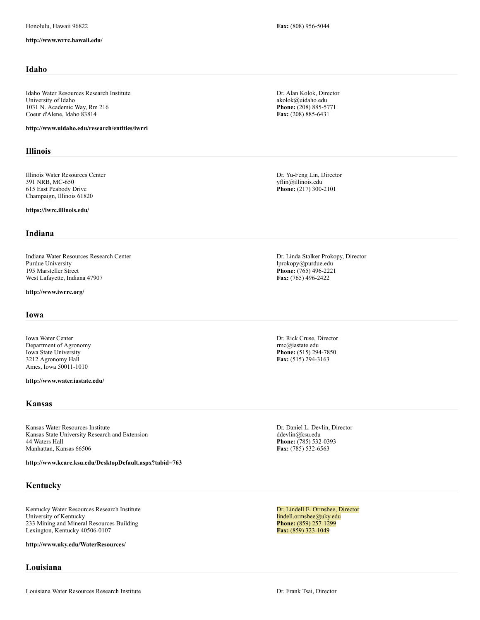#### **http://www.wrrc.hawaii.edu/**

# **Idaho**

Idaho Water Resources Research Institute University of Idaho 1031 N. Academic Way, Rm 216 Coeur d'Alene, Idaho 83814

**http://www.uidaho.edu/research/entities/iwrri**

## **Illinois**

Illinois Water Resources Center 391 NRB, MC-650 615 East Peabody Drive Champaign, Illinois 61820

**https://iwrc.illinois.edu/**

## **Indiana**

Indiana Water Resources Research Center Purdue University 195 Marsteller Street West Lafayette, Indiana 47907

## **http://www.iwrrc.org/**

## **Iowa**

Iowa Water Center Department of Agronomy Iowa State University 3212 Agronomy Hall Ames, Iowa 50011-1010

**http://www.water.iastate.edu/**

## **Kansas**

Kansas Water Resources Institute Kansas State University Research and Extension 44 Waters Hall Manhattan, Kansas 66506

**http://www.kcare.ksu.edu/DesktopDefault.aspx?tabid=763**

# **Kentucky**

Kentucky Water Resources Research Institute University of Kentucky 233 Mining and Mineral Resources Building Lexington, Kentucky 40506-0107

**http://www.uky.edu/WaterResources/**

# **Louisiana**

**Fax:** (808) 956-5044

Dr. Alan Kolok, Director akolok@uidaho.edu **Phone:** (208) 885-5771 **Fax:** (208) 885-6431

Dr. Yu-Feng Lin, Director yflin@illinois.edu **Phone:** (217) 300-2101

Dr. Linda Stalker Prokopy, Director lprokopy@purdue.edu **Phone:** (765) 496-2221 **Fax:** (765) 496-2422

Dr. Rick Cruse, Director rmc@iastate.edu **Phone:** (515) 294-7850 **Fax:** (515) 294-3163

Dr. Daniel L. Devlin, Director ddevlin@ksu.edu **Phone:** (785) 532-0393 **Fax:** (785) 532-6563

Dr. Lindell E. Ormsbee, Director lindell.ormsbee@uky.edu **Phone:** (859) 257-1299 **Fax:** (859) 323-1049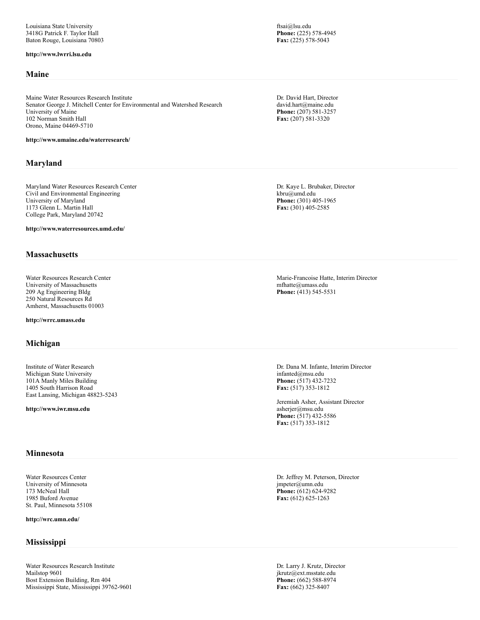#### **http://www.lwrri.lsu.edu**

# **Maine**

Maine Water Resources Research Institute Senator George J. Mitchell Center for Environmental and Watershed Research University of Maine 102 Norman Smith Hall Orono, Maine 04469-5710

**http://www.umaine.edu/waterresearch/**

# **Maryland**

Maryland Water Resources Research Center Civil and Environmental Engineering University of Maryland 1173 Glenn L. Martin Hall College Park, Maryland 20742

**http://www.waterresources.umd.edu/**

# **Massachusetts**

Water Resources Research Center University of Massachusetts 209 Ag Engineering Bldg 250 Natural Resources Rd Amherst, Massachusetts 01003

**http://wrrc.umass.edu**

#### **Michigan**

Institute of Water Research Michigan State University 101A Manly Miles Building 1405 South Harrison Road East Lansing, Michigan 48823-5243

**http://www.iwr.msu.edu**

# **Minnesota**

Water Resources Center University of Minnesota 173 McNeal Hall 1985 Buford Avenue St. Paul, Minnesota 55108

**http://wrc.umn.edu/**

# **Mississippi**

Water Resources Research Institute Mailstop 9601 Bost Extension Building, Rm 404 Mississippi State, Mississippi 39762-9601 ftsai@lsu.edu **Phone:** (225) 578-4945 **Fax:** (225) 578-5043

Dr. David Hart, Director david.hart@maine.edu **Phone:** (207) 581-3257 **Fax:** (207) 581-3320

Dr. Kaye L. Brubaker, Director kbru@umd.edu **Phone:** (301) 405-1965 **Fax:** (301) 405-2585

Marie-Francoise Hatte, Interim Director mfhatte@umass.edu **Phone:** (413) 545-5531

Dr. Dana M. Infante, Interim Director infanted@msu.edu **Phone:** (517) 432-7232 **Fax:** (517) 353-1812

Jeremiah Asher, Assistant Director asherjer@msu.edu **Phone:** (517) 432-5586 **Fax:** (517) 353-1812

Dr. Jeffrey M. Peterson, Director jmpeter@umn.edu **Phone:** (612) 624-9282 **Fax:** (612) 625-1263

Dr. Larry J. Krutz, Director jkrutz@ext.msstate.edu **Phone:** (662) 588-8974 **Fax:** (662) 325-8407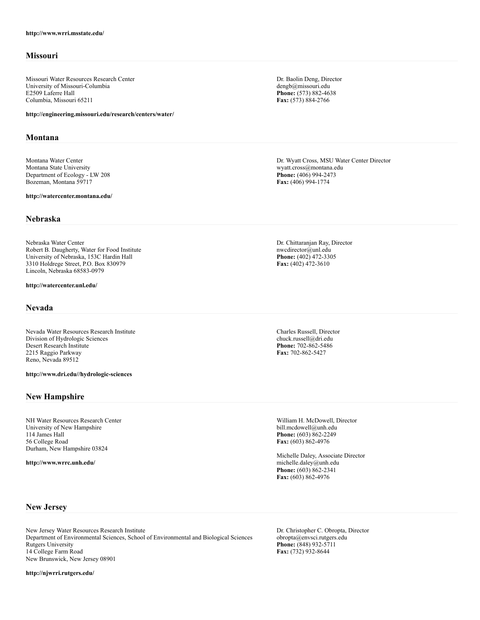# **Missouri**

Missouri Water Resources Research Center University of Missouri-Columbia E2509 Laferre Hall Columbia, Missouri 65211

**http://engineering.missouri.edu/research/centers/water/**

# **Montana**

Montana Water Center Montana State University Department of Ecology - LW 208 Bozeman, Montana 59717

**http://watercenter.montana.edu/**

#### **Nebraska**

Nebraska Water Center Robert B. Daugherty, Water for Food Institute University of Nebraska, 153C Hardin Hall 3310 Holdrege Street, P.O. Box 830979 Lincoln, Nebraska 68583-0979

**http://watercenter.unl.edu/**

# **Nevada**

Nevada Water Resources Research Institute Division of Hydrologic Sciences Desert Research Institute 2215 Raggio Parkway Reno, Nevada 89512

**http://www.dri.edu//hydrologic-sciences**

# **New Hampshire**

NH Water Resources Research Center University of New Hampshire 114 James Hall 56 College Road Durham, New Hampshire 03824

**http://www.wrrc.unh.edu/**

Dr. Baolin Deng, Director dengb@missouri.edu **Phone:** (573) 882-4638 **Fax:** (573) 884-2766

Dr. Wyatt Cross, MSU Water Center Director wyatt.cross@montana.edu **Phone:** (406) 994-2473 **Fax:** (406) 994-1774

Dr. Chittaranjan Ray, Director nwcdirector@unl.edu **Phone:** (402) 472-3305 **Fax:** (402) 472-3610

Charles Russell, Director chuck.russell@dri.edu **Phone:** 702-862-5486 **Fax:** 702-862-5427

William H. McDowell, Director bill.mcdowell@unh.edu **Phone:** (603) 862-2249 **Fax:** (603) 862-4976

Michelle Daley, Associate Director michelle.daley@unh.edu **Phone:** (603) 862-2341 **Fax:** (603) 862-4976

# **New Jersey**

New Jersey Water Resources Research Institute Department of Environmental Sciences, School of Environmental and Biological Sciences Rutgers University 14 College Farm Road New Brunswick, New Jersey 08901

**http://njwrri.rutgers.edu/**

Dr. Christopher C. Obropta, Director obropta@envsci.rutgers.edu **Phone:** (848) 932-5711 **Fax:** (732) 932-8644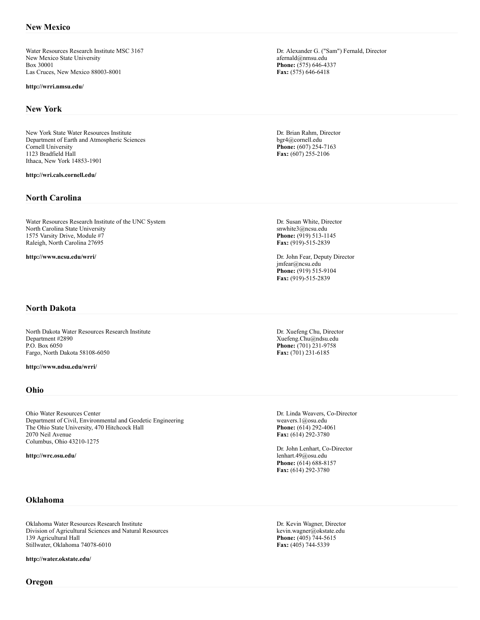Water Resources Research Institute MSC 3167 New Mexico State University Box 30001 Las Cruces, New Mexico 88003-8001

#### **http://wrri.nmsu.edu/**

#### **New York**

New York State Water Resources Institute Department of Earth and Atmospheric Sciences Cornell University 1123 Bradfield Hall Ithaca, New York 14853-1901

#### **http://wri.cals.cornell.edu/**

## **North Carolina**

Water Resources Research Institute of the UNC System North Carolina State University 1575 Varsity Drive, Module #7 Raleigh, North Carolina 27695

**http://www.ncsu.edu/wrri/**

Dr. Alexander G. ("Sam") Fernald, Director afernald@nmsu.edu **Phone:** (575) 646-4337 **Fax:** (575) 646-6418

Dr. Brian Rahm, Director bgr4@cornell.edu **Phone:** (607) 254-7163 **Fax:** (607) 255-2106

Dr. Susan White, Director snwhite3@ncsu.edu **Phone:** (919) 513-1145 **Fax:** (919)-515-2839

Dr. John Fear, Deputy Director jmfear@ncsu.edu **Phone:** (919) 515-9104 **Fax:** (919)-515-2839

# **North Dakota**

North Dakota Water Resources Research Institute Department #2890 P.O. Box 6050 Fargo, North Dakota 58108-6050

**http://www.ndsu.edu/wrri/**

### **Ohio**

Ohio Water Resources Center Department of Civil, Environmental and Geodetic Engineering The Ohio State University, 470 Hitchcock Hall 2070 Neil Avenue Columbus, Ohio 43210-1275

**http://wrc.osu.edu/**

Dr. Xuefeng Chu, Director Xuefeng.Chu@ndsu.edu **Phone:** (701) 231-9758 **Fax:** (701) 231-6185

Dr. Linda Weavers, Co-Director weavers.1@osu.edu **Phone:** (614) 292-4061 **Fax:** (614) 292-3780

Dr. John Lenhart, Co-Director lenhart.49@osu.edu **Phone:** (614) 688-8157 **Fax:** (614) 292-3780

# **Oklahoma**

Oklahoma Water Resources Research Institute Division of Agricultural Sciences and Natural Resources 139 Agricultural Hall Stillwater, Oklahoma 74078-6010

**http://water.okstate.edu/**

Dr. Kevin Wagner, Director kevin.wagner@okstate.edu **Phone:** (405) 744-5615 **Fax:** (405) 744-5339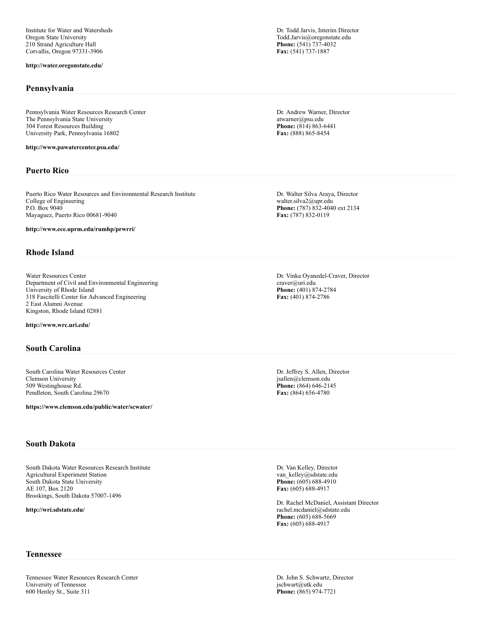Institute for Water and Watersheds Oregon State University 210 Strand Agriculture Hall Corvallis, Oregon 97331-3906

#### **http://water.oregonstate.edu/**

#### **Pennsylvania**

Pennsylvania Water Resources Research Center The Pennsylvania State University 304 Forest Resources Building University Park, Pennsylvania 16802

**http://www.pawatercenter.psu.edu/**

# **Puerto Rico**

Puerto Rico Water Resources and Environmental Research Institute College of Engineering P.O. Box 9040 Mayaguez, Puerto Rico 00681-9040

**http://www.ece.uprm.edu/rumhp/prwrri/**

# **Rhode Island**

Water Resources Center Department of Civil and Environmental Engineering University of Rhode Island 318 Fascitelli Center for Advanced Engineering 2 East Alumni Avenue Kingston, Rhode Island 02881

**http://www.wrc.uri.edu/**

# **South Carolina**

South Carolina Water Resources Center Clemson University 509 Westinghouse Rd. Pendleton, South Carolina 29670

**https://www.clemson.edu/public/water/scwater/**

# **South Dakota**

South Dakota Water Resources Research Institute Agricultural Experiment Station South Dakota State University AE 107, Box 2120 Brookings, South Dakota 57007-1496

**http://wri.sdstate.edu/**

Dr. Todd Jarvis, Interim Director Todd.Jarvis@oregonstate.edu **Phone:** (541) 737-4032 **Fax:** (541) 737-1887

Dr. Andrew Warner, Director atwarner@psu.edu **Phone:** (814) 863-6441 **Fax:** (888) 865-8454

Dr. Walter Silva Araya, Director walter.silva2@upr.edu **Phone:** (787) 832-4040 ext 2134 **Fax:** (787) 832-0119

Dr. Vinka Oyanedel-Craver, Director craver@uri.edu **Phone:** (401) 874-2784 **Fax:** (401) 874-2786

Dr. Jeffrey S. Allen, Director jsallen@clemson.edu **Phone:** (864) 646-2145 **Fax:** (864) 656-4780

Dr. Van Kelley, Director van\_kelley@sdstate.edu Phone: (605) 688-4910 **Fax:** (605) 688-4917

Dr. Rachel McDaniel, Assistant Director rachel.mcdaniel@sdstate.edu **Phone:** (605) 688-5669 **Fax:** (605) 688-4917

Dr. John S. Schwartz, Director jschwart@utk.edu **Phone:** (865) 974-7721

## **Tennessee**

Tennessee Water Resources Research Center University of Tennessee 600 Henley St., Suite 311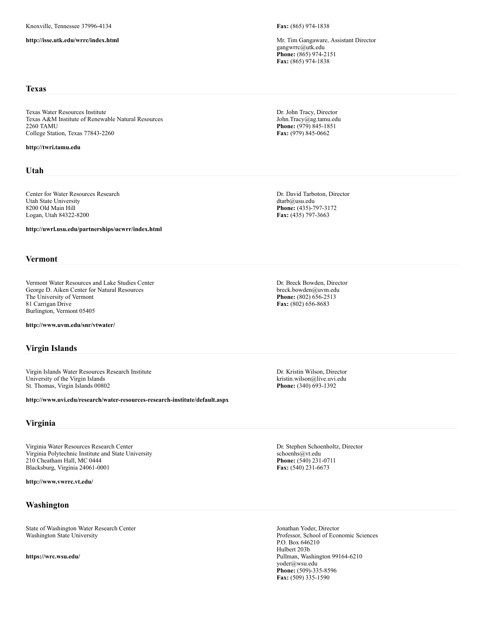**http://isse.utk.edu/wrrc/index.html**

**Fax:** (865) 974-1838

Mr. Tim Gangaware, Assistant Director gangwrrc@utk.edu **Phone:** (865) 974-2151 **Fax:** (865) 974-1838

## **Texas**

Texas Water Resources Institute Texas A&M Institute of Renewable Natural Resources 2260 TAMU College Station, Texas 77843-2260

#### **http://twri.tamu.edu**

## **Utah**

Center for Water Resources Research Utah State University 8200 Old Main Hill Logan, Utah 84322-8200

**http://uwrl.usu.edu/partnerships/ucwrr/index.html**

# **Vermont**

Vermont Water Resources and Lake Studies Center George D. Aiken Center for Natural Resources The University of Vermont 81 Carrigan Drive Burlington, Vermont 05405

**http://www.uvm.edu/snr/vtwater/**

# **Virgin Islands**

Virgin Islands Water Resources Research Institute University of the Virgin Islands St. Thomas, Virgin Islands 00802

**http://www.uvi.edu/research/water-resources-research-institute/default.aspx**

# **Virginia**

Virginia Water Resources Research Center Virginia Polytechnic Institute and State University 210 Cheatham Hall, MC 0444 Blacksburg, Virginia 24061-0001

**http://www.vwrrc.vt.edu/**

# **Washington**

State of Washington Water Research Center Washington State University

**https://wrc.wsu.edu/**

Dr. John Tracy, Director John.Tracy@ag.tamu.edu **Phone:** (979) 845-1851 **Fax:** (979) 845-0662

Dr. David Tarboton, Director dtarb@usu.edu **Phone:** (435)-797-3172 **Fax:** (435) 797-3663

Dr. Breck Bowden, Director breck.bowden@uvm.edu **Phone:** (802) 656-2513 **Fax:** (802) 656-8683

Dr. Kristin Wilson, Director kristin.wilson@live.uvi.edu **Phone:** (340) 693-1392

Dr. Stephen Schoenholtz, Director schoenhs@vt.edu **Phone:** (540) 231-0711 **Fax:** (540) 231-6673

Jonathan Yoder, Director Professor, School of Economic Sciences P.O. Box 646210 Hulbert 203b Pullman, Washington 99164-6210 yoder@wsu.edu **Phone:** (509)-335-8596 **Fax:** (509) 335-1590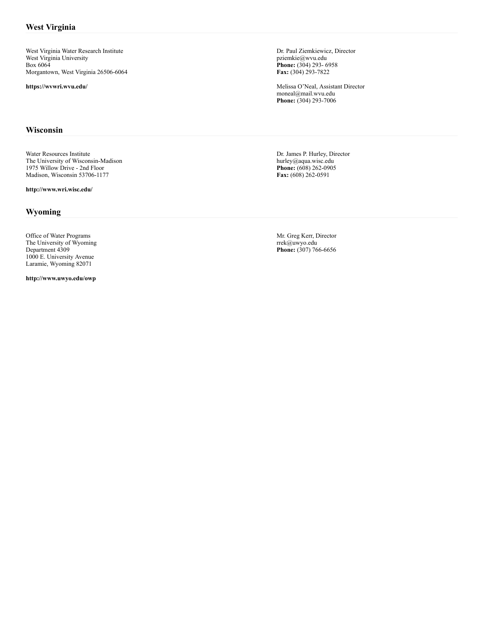West Virginia Water Research Institute West Virginia University Box 6064 Morgantown, West Virginia 26506-6064

**https://wvwri.wvu.edu/**

# **Wisconsin**

Water Resources Institute The University of Wisconsin-Madison 1975 Willow Drive - 2nd Floor Madison, Wisconsin 53706-1177

**http://www.wri.wisc.edu/**

# **Wyoming**

Office of Water Programs The University of Wyoming Department 4309 1000 E. University Avenue Laramie, Wyoming 82071

**http://www.uwyo.edu/owp**

Dr. Paul Ziemkiewicz, Director pziemkie@wvu.edu **Phone:** (304) 293- 6958 **Fax:** (304) 293-7822

Melissa O'Neal, Assistant Director moneal@mail.wvu.edu **Phone:** (304) 293-7006

Dr. James P. Hurley, Director hurley@aqua.wisc.edu **Phone:** (608) 262-0905 **Fax:** (608) 262-0591

Mr. Greg Kerr, Director rrek@uwyo.edu **Phone:** (307) 766-6656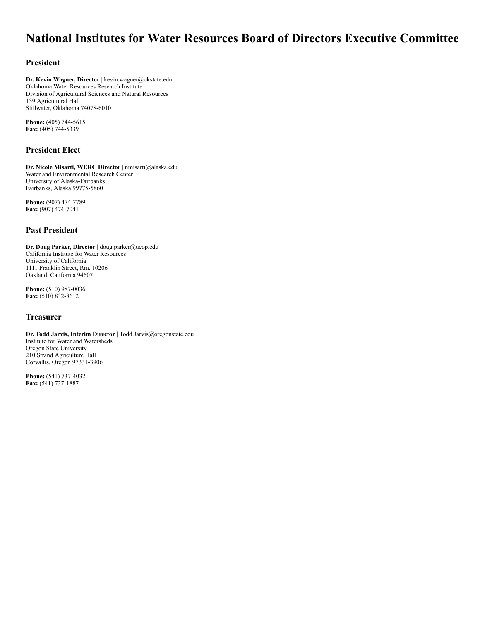# **National Institutes for Water Resources Board of Directors Executive Committee**

# **President**

**Dr. Kevin Wagner, Director** | kevin.wagner@okstate.edu Oklahoma Water Resources Research Institute Division of Agricultural Sciences and Natural Resources 139 Agricultural Hall Stillwater, Oklahoma 74078-6010

**Phone:** (405) 744-5615 **Fax:** (405) 744-5339

# **President Elect**

**Dr. Nicole Misarti, WERC Director** | nmisarti@alaska.edu Water and Environmental Research Center University of Alaska-Fairbanks Fairbanks, Alaska 99775-5860

**Phone:** (907) 474-7789 **Fax:** (907) 474-7041

# **Past President**

**Dr. Doug Parker, Director** | doug.parker@ucop.edu California Institute for Water Resources University of California 1111 Franklin Street, Rm. 10206 Oakland, California 94607

**Phone:** (510) 987-0036 **Fax:** (510) 832-8612

# **Treasurer**

**Dr. Todd Jarvis, Interim Director** | Todd.Jarvis@oregonstate.edu Institute for Water and Watersheds Oregon State University 210 Strand Agriculture Hall Corvallis, Oregon 97331-3906

**Phone:** (541) 737-4032 **Fax:** (541) 737-1887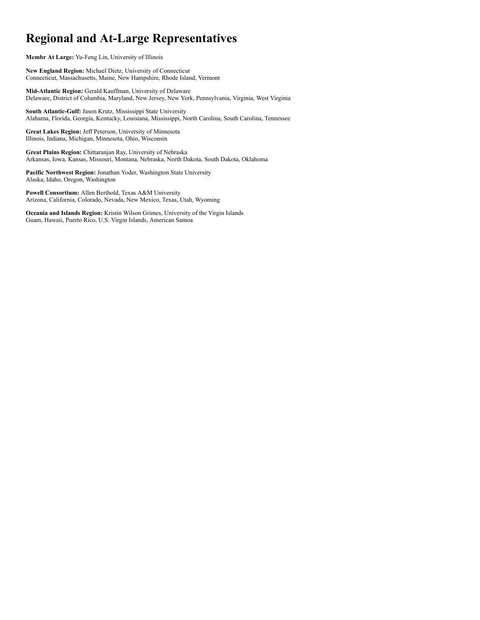# **Regional and At-Large Representatives**

**Membr At Large:** Yu-Feng Lin, University of Illinois

**New England Region:** Michael Dietz, University of Connecticut Connecticut, Massachusetts, Maine, New Hampshire, Rhode Island, Vermont

**Mid-Atlantic Region:** Gerald Kauffman, University of Delaware Delaware, District of Columbia, Maryland, New Jersey, New York, Pennsylvania, Virginia, West Virginia

**South Atlantic-Gulf:** Jason Krutz, Mississippi State University Alabama, Florida, Georgia, Kentucky, Louisiana, Mississippi, North Carolina, South Carolina, Tennessee

**Great Lakes Region:** Jeff Peterson, University of Minnesota Illinois, Indiana, Michigan, Minnesota, Ohio, Wisconsin

**Great Plains Region:** Chittaranjan Ray, University of Nebraska Arkansas, Iowa, Kansas, Missouri, Montana, Nebraska, North Dakota, South Dakota, Oklahoma

**Pacific Northwest Region:** Jonathan Yoder, Washington State University Alaska, Idaho, Oregon, Washington

**Powell Consortium:** Allen Berthold, Texas A&M University Arizona, California, Colorado, Nevada, New Mexico, Texas, Utah, Wyoming

**Oceania and Islands Region:** Kristin Wilson Grimes, University of the Virgin Islands Guam, Hawaii, Puerto Rico, U.S. Virgin Islands, American Samoa